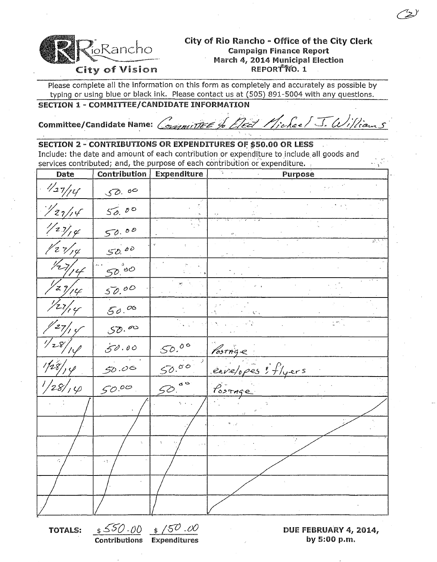

### City of Rio Rancho - Office of the City Clerk **Campaign Finance Report** March 4, 2014 Municipal Election REPORT NO. 1

Please complete all the information on this form as completely and accurately as possible by typing or using blue or black ink. Please contact us at (505) 891-5004 with any questions.

# SECTION 1 - COMMITTEE/CANDIDATE INFORMATION

Committee/Candidate Name: /

Vickee/ J. William OVERITTEE & Tect 1

### **SECTION 2 - CONTRIBUTIONS OR EXPENDITURES OF \$50.00 OR LESS**

Include: the date and amount of each contribution or expenditure to include all goods and services contributed; and, the purpose of each contribution or expenditure.

| Date                     | Contribution | <b>Expenditure</b> | з.<br>Purpose      |
|--------------------------|--------------|--------------------|--------------------|
| $\frac{1}{27/14}$        | 50.00        |                    |                    |
| 1/27/14                  | 50.00        |                    |                    |
| $\frac{1}{2}\frac{1}{2}$ | 50.00        |                    |                    |
| $\frac{1}{2}\frac{1}{4}$ | 50.00        |                    |                    |
| 727/14                   | $50^{100}$   |                    |                    |
| $\frac{1}{2}\frac{1}{4}$ | 50,00        |                    |                    |
| 27/14                    | 50.00        |                    | V.                 |
| $z_{7/7}$ of             | 50.00        |                    |                    |
| $\frac{1}{28}$           | 50.00        | 50.00              | Postage            |
| $1/28/$ , $\varphi$      | 50.06        | 50.00              | envelopes : flyers |
| 1/28/14                  | 50.00        | $50$ so            | POSTAGE            |
|                          |              |                    |                    |
|                          |              |                    |                    |
|                          |              |                    |                    |
|                          | чý.          |                    |                    |
|                          |              |                    |                    |
|                          |              |                    |                    |

**TOTALS:** 

 $$500.00$   $$/50.00$ **Contributions Expenditures** 

DUE FEBRUARY 4, 2014, by 5:00 p.m.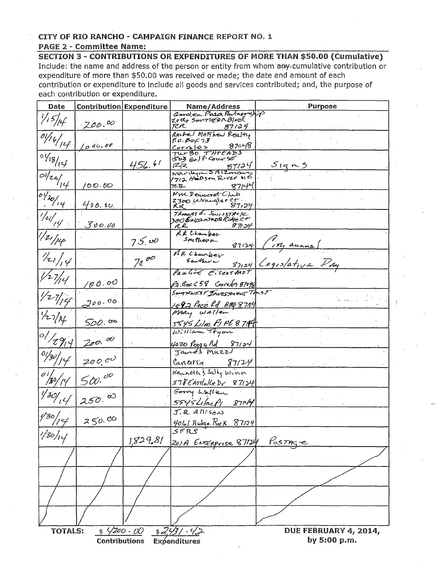# CITY OF RIO RANCHO - CAMPAIGN FINANCE REPORT NO. 1

#### **PAGE 2 - Committee Name:**

SECTION 3 - CONTRIBUTIONS OR EXPENDITURES OF MORE THAN \$50.00 (Cumulative) Include: the name and address of the person or entity from whom any cumulative contribution or expenditure of more than \$50.00 was received or made; the date and amount of each contribution or expenditure to include all goods and services contributed; and, the purpose of each contribution or expenditure.

| Date                                                  |                          | <b>Contribution Expenditure</b> | Name/Address                                    | Purpose                      |  |  |  |  |
|-------------------------------------------------------|--------------------------|---------------------------------|-------------------------------------------------|------------------------------|--|--|--|--|
|                                                       |                          |                                 | Garden Plaza Partnership<br>20 de SOUTHEARBINCL |                              |  |  |  |  |
| $\frac{1}{15}$                                        | 200.00                   |                                 | たに<br>$87/34$ .                                 |                              |  |  |  |  |
| $\overline{\mathbb{Q}/\mathbb{Q}}_{\mathbb{Z}}$       |                          |                                 | Rachel MATThew Realty                           |                              |  |  |  |  |
|                                                       | 100000                   |                                 | P: Box 73<br>87048                              |                              |  |  |  |  |
|                                                       |                          |                                 | <u>Corrales</u>                                 |                              |  |  |  |  |
| $10\frac{10}{15}$                                     |                          |                                 | TWBO THREADS<br>1503 Golf Course                |                              |  |  |  |  |
|                                                       |                          | 456.61                          | 72.Z<br>87/24                                   | S(915)                       |  |  |  |  |
|                                                       |                          |                                 | Marilyn SAIZman                                 |                              |  |  |  |  |
| $\frac{1}{\frac{1}{2}}$                               | /00.00                   |                                 | ፲ር ፲<br>871 <del>Y</del> I                      |                              |  |  |  |  |
| $\frac{1}{\frac{1}{\frac{1}{\frac{1}{1}}}}$           |                          |                                 | MM Democrat Club                                |                              |  |  |  |  |
|                                                       | 400.00                   |                                 | 2300 wrangler ct.<br>87,24                      |                              |  |  |  |  |
|                                                       |                          |                                 | R.R_<br>ThomAS E. SwissTACK                     |                              |  |  |  |  |
|                                                       |                          |                                 | 300 Encante De Ridge c+                         |                              |  |  |  |  |
| $\sqrt{2}/\frac{1}{2}$                                | 300.00                   |                                 | 871 IY<br>R.R.                                  |                              |  |  |  |  |
| $1/21/\mu$                                            |                          |                                 | RR Ckamber<br>Southern                          |                              |  |  |  |  |
|                                                       |                          | 75.00                           |                                                 | $87154$ (174 annua)          |  |  |  |  |
|                                                       |                          |                                 | NR Chanker                                      |                              |  |  |  |  |
| $\frac{1}{2}$                                         |                          | 70000                           | Southern                                        | $87124$ Legislative $P_{Ay}$ |  |  |  |  |
|                                                       |                          |                                 | Pauline Eisenstrot                              |                              |  |  |  |  |
| $\frac{1}{2}$                                         |                          |                                 |                                                 |                              |  |  |  |  |
|                                                       | 100.00                   |                                 | P.O. Box 458 Correles 87048                     |                              |  |  |  |  |
| 1/27/194                                              |                          |                                 | SOUTHWEST Investment Trust                      |                              |  |  |  |  |
|                                                       | 200.00                   |                                 | 1492 Pace Rd ABQ 8754                           |                              |  |  |  |  |
|                                                       |                          |                                 | MARY WALLER                                     |                              |  |  |  |  |
| $\frac{1}{2}$                                         | 500.00                   |                                 |                                                 |                              |  |  |  |  |
|                                                       |                          |                                 | 5545 Lilac PIPE 87144                           |                              |  |  |  |  |
| $\frac{1}{\sqrt{2\pi}}$                               | 200.00                   |                                 |                                                 |                              |  |  |  |  |
|                                                       |                          |                                 | 4020 Peggy Rd 87124<br>James Muzzi              |                              |  |  |  |  |
| $\frac{1}{\sqrt{30}}$                                 |                          |                                 |                                                 |                              |  |  |  |  |
|                                                       | 2000                     |                                 | 87124<br>Cancersie                              |                              |  |  |  |  |
| $\frac{1}{\frac{1}{80}}$                              |                          |                                 | Kenneth's Sally Winn                            |                              |  |  |  |  |
|                                                       | 500.00                   |                                 | $578E$ Astlalke br 87124                        |                              |  |  |  |  |
|                                                       |                          |                                 | Garry Lallen                                    |                              |  |  |  |  |
| 1/30/14                                               | $250^{60}$               |                                 |                                                 |                              |  |  |  |  |
|                                                       |                          |                                 | $5545$ LIacPI 8714                              |                              |  |  |  |  |
|                                                       | $\frac{9}{30}/777250.00$ |                                 | $J.R.$ $Alks_{OM}$                              |                              |  |  |  |  |
|                                                       |                          |                                 | 406/ Rudge Rock 87174                           |                              |  |  |  |  |
| $^{1/30/14}$                                          |                          |                                 |                                                 |                              |  |  |  |  |
|                                                       |                          | 1,829.81                        | 201A ENTERPrise 87124                           | PostAge                      |  |  |  |  |
|                                                       |                          |                                 |                                                 |                              |  |  |  |  |
|                                                       |                          |                                 |                                                 |                              |  |  |  |  |
|                                                       |                          |                                 |                                                 |                              |  |  |  |  |
|                                                       |                          |                                 |                                                 |                              |  |  |  |  |
|                                                       |                          |                                 |                                                 |                              |  |  |  |  |
|                                                       |                          |                                 |                                                 |                              |  |  |  |  |
|                                                       |                          |                                 |                                                 |                              |  |  |  |  |
|                                                       |                          |                                 |                                                 |                              |  |  |  |  |
|                                                       |                          |                                 |                                                 |                              |  |  |  |  |
| $490 - 00$<br><b>TOTALS:</b><br>DUE FEBRUARY 4, 2014, |                          |                                 |                                                 |                              |  |  |  |  |
| <u> \$2,431 -42</u>                                   |                          |                                 |                                                 |                              |  |  |  |  |
| by 5:00 p.m.<br>Contributions<br>Expenditures         |                          |                                 |                                                 |                              |  |  |  |  |